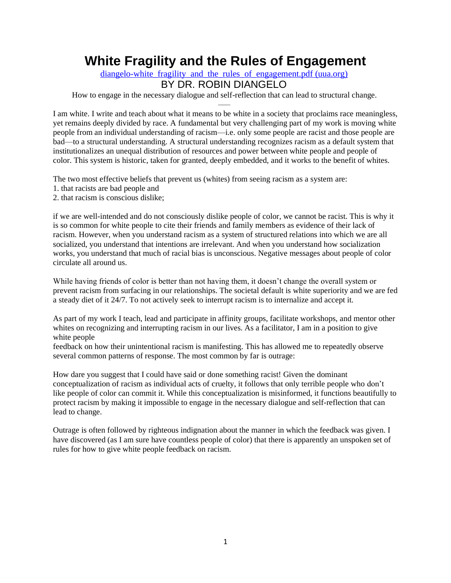## **White Fragility and the Rules of Engagement**

diangelo-white fragility and the rules of engagement.pdf (uua.org) BY DR. ROBIN DIANGELO

How to engage in the necessary dialogue and self-reflection that can lead to structural change.

––– I am white. I write and teach about what it means to be white in a society that proclaims race meaningless, yet remains deeply divided by race. A fundamental but very challenging part of my work is moving white people from an individual understanding of racism—i.e. only some people are racist and those people are bad—to a structural understanding. A structural understanding recognizes racism as a default system that institutionalizes an unequal distribution of resources and power between white people and people of color. This system is historic, taken for granted, deeply embedded, and it works to the benefit of whites.

The two most effective beliefs that prevent us (whites) from seeing racism as a system are:

- 1. that racists are bad people and
- 2. that racism is conscious dislike;

if we are well-intended and do not consciously dislike people of color, we cannot be racist. This is why it is so common for white people to cite their friends and family members as evidence of their lack of racism. However, when you understand racism as a system of structured relations into which we are all socialized, you understand that intentions are irrelevant. And when you understand how socialization works, you understand that much of racial bias is unconscious. Negative messages about people of color circulate all around us.

While having friends of color is better than not having them, it doesn't change the overall system or prevent racism from surfacing in our relationships. The societal default is white superiority and we are fed a steady diet of it 24/7. To not actively seek to interrupt racism is to internalize and accept it.

As part of my work I teach, lead and participate in affinity groups, facilitate workshops, and mentor other whites on recognizing and interrupting racism in our lives. As a facilitator, I am in a position to give white people

feedback on how their unintentional racism is manifesting. This has allowed me to repeatedly observe several common patterns of response. The most common by far is outrage:

How dare you suggest that I could have said or done something racist! Given the dominant conceptualization of racism as individual acts of cruelty, it follows that only terrible people who don't like people of color can commit it. While this conceptualization is misinformed, it functions beautifully to protect racism by making it impossible to engage in the necessary dialogue and self-reflection that can lead to change.

Outrage is often followed by righteous indignation about the manner in which the feedback was given. I have discovered (as I am sure have countless people of color) that there is apparently an unspoken set of rules for how to give white people feedback on racism.